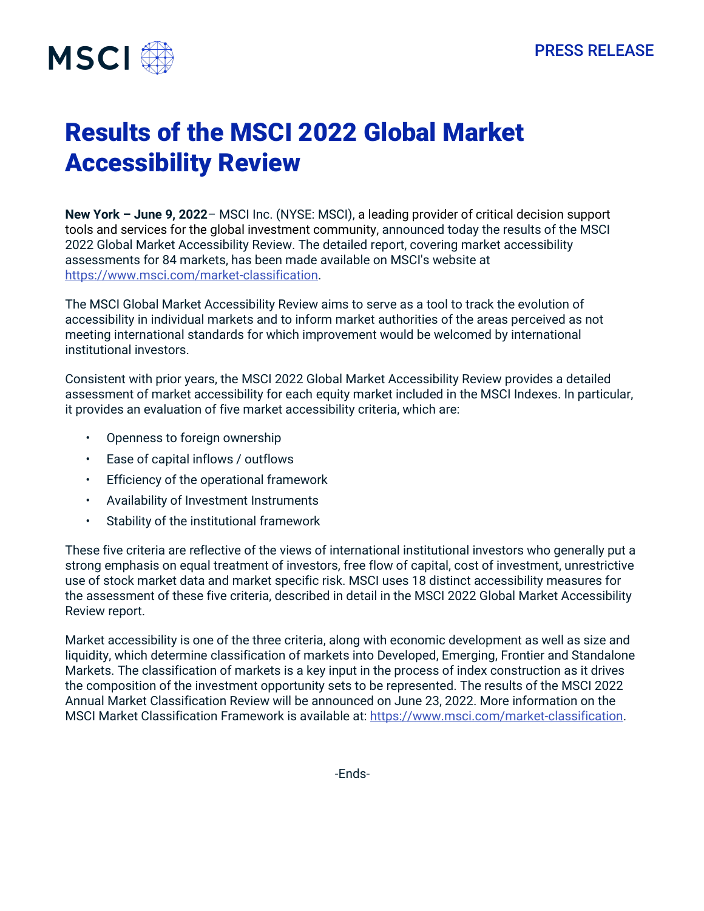

## Results of the MSCI 2022 Global Market Accessibility Review

**New York – June 9, 2022**– MSCI Inc. (NYSE: MSCI), a leading provider of critical decision support tools and services for the global investment community, announced today the results of the MSCI 2022 Global Market Accessibility Review. The detailed report, covering market accessibility assessments for 84 markets, has been made available on MSCI's website at [https://www.msci.com/market-classification.](https://www.msci.com/market-classification)

The MSCI Global Market Accessibility Review aims to serve as a tool to track the evolution of accessibility in individual markets and to inform market authorities of the areas perceived as not meeting international standards for which improvement would be welcomed by international institutional investors.

Consistent with prior years, the MSCI 2022 Global Market Accessibility Review provides a detailed assessment of market accessibility for each equity market included in the MSCI Indexes. In particular, it provides an evaluation of five market accessibility criteria, which are:

- Openness to foreign ownership
- Ease of capital inflows / outflows
- Efficiency of the operational framework
- Availability of Investment Instruments
- Stability of the institutional framework

These five criteria are reflective of the views of international institutional investors who generally put a strong emphasis on equal treatment of investors, free flow of capital, cost of investment, unrestrictive use of stock market data and market specific risk. MSCI uses 18 distinct accessibility measures for the assessment of these five criteria, described in detail in the MSCI 2022 Global Market Accessibility Review report.

Market accessibility is one of the three criteria, along with economic development as well as size and liquidity, which determine classification of markets into Developed, Emerging, Frontier and Standalone Markets. The classification of markets is a key input in the process of index construction as it drives the composition of the investment opportunity sets to be represented. The results of the MSCI 2022 Annual Market Classification Review will be announced on June 23, 2022. More information on the MSCI Market Classification Framework is available at: [https://www.msci.com/market-classification.](https://www.msci.com/market-classification)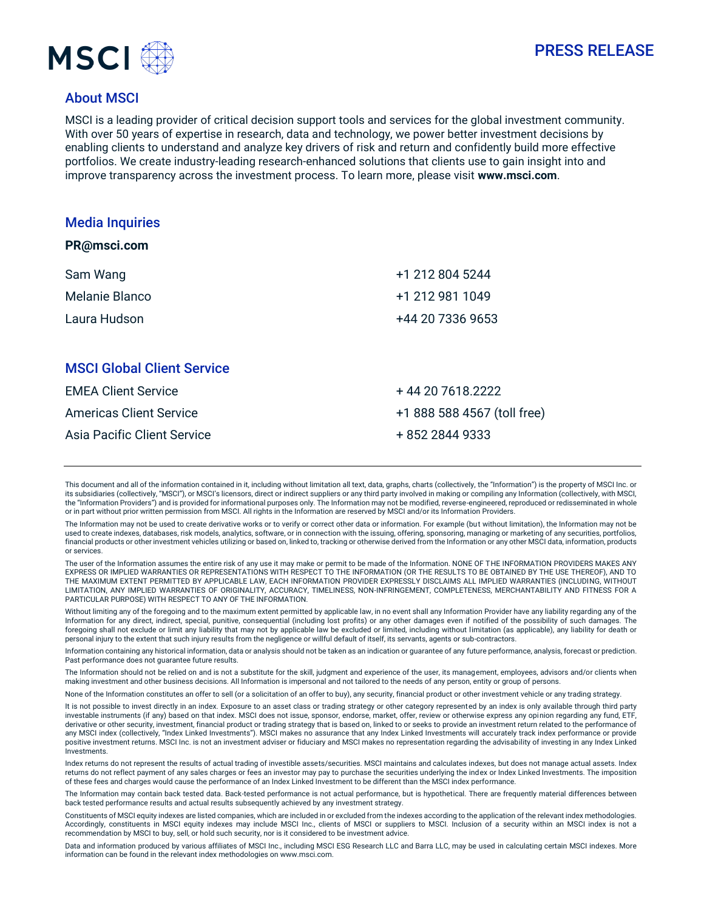

## About MSCI

MSCI is a leading provider of critical decision support tools and services for the global investment community. With over 50 years of expertise in research, data and technology, we power better investment decisions by enabling clients to understand and analyze key drivers of risk and return and confidently build more effective portfolios. We create industry-leading research-enhanced solutions that clients use to gain insight into and improve transparency across the investment process. To learn more, please visit **[www.msci.com](http://www.msci.com/)**.

| <b>Media Inquiries</b>             |                             |
|------------------------------------|-----------------------------|
| PR@msci.com                        |                             |
| Sam Wang                           | +1 212 804 5244             |
| Melanie Blanco                     | +1 212 981 1049             |
| Laura Hudson                       | +44 20 7336 9653            |
| <b>MSCI Global Client Service</b>  |                             |
| <b>EMEA Client Service</b>         | +44 20 7618.2222            |
| <b>Americas Client Service</b>     | +1 888 588 4567 (toll free) |
| <b>Asia Pacific Client Service</b> | + 852 2844 9333             |

This document and all of the information contained in it, including without limitation all text, data, graphs, charts (collectively, the "Information") is the property of MSCI Inc. or its subsidiaries (collectively, "MSCI"), or MSCI's licensors, direct or indirect suppliers or any third party involved in making or compiling any Information (collectively, with MSCI, the "Information Providers") and is provided for informational purposes only. The Information may not be modified, reverse-engineered, reproduced or redisseminated in whole or in part without prior written permission from MSCI. All rights in the Information are reserved by MSCI and/or its Information Providers.

The user of the Information assumes the entire risk of any use it may make or permit to be made of the Information. NONE OF THE INFORMATION PROVIDERS MAKES ANY EXPRESS OR IMPLIED WARRANTIES OR REPRESENTATIONS WITH RESPECT TO THE INFORMATION (OR THE RESULTS TO BE OBTAINED BY THE USE THEREOF), AND TO THE MAXIMUM EXTENT PERMITTED BY APPLICABLE LAW, EACH INFORMATION PROVIDER EXPRESSLY DISCLAIMS ALL IMPLIED WARRANTIES (INCLUDING, WITHOUT LIMITATION, ANY IMPLIED WARRANTIES OF ORIGINALITY, ACCURACY, TIMELINESS, NON-INFRINGEMENT, COMPLETENESS, MERCHANTABILITY AND FITNESS FOR A PARTICULAR PURPOSE) WITH RESPECT TO ANY OF THE INFORMATION.

Without limiting any of the foregoing and to the maximum extent permitted by applicable law, in no event shall any Information Provider have any liability regarding any of the Information for any direct, indirect, special, punitive, consequential (including lost profits) or any other damages even if notified of the possibility of such damages. The foregoing shall not exclude or limit any liability that may not by applicable law be excluded or limited, including without limitation (as applicable), any liability for death or personal injury to the extent that such injury results from the negligence or willful default of itself, its servants, agents or sub-contractors.

Information containing any historical information, data or analysis should not be taken as an indication or guarantee of any future performance, analysis, forecast or prediction. Past performance does not guarantee future results.

The Information should not be relied on and is not a substitute for the skill, judgment and experience of the user, its management, employees, advisors and/or clients when making investment and other business decisions. All Information is impersonal and not tailored to the needs of any person, entity or group of persons.

None of the Information constitutes an offer to sell (or a solicitation of an offer to buy), any security, financial product or other investment vehicle or any trading strategy.

The Information may not be used to create derivative works or to verify or correct other data or information. For example (but without limitation), the Information may not be used to create indexes, databases, risk models, analytics, software, or in connection with the issuing, offering, sponsoring, managing or marketing of any securities, portfolios,<br>financial products or other investment vehi or services.

It is not possible to invest directly in an index. Exposure to an asset class or trading strategy or other category represented by an index is only available through third party investable instruments (if any) based on that index. MSCI does not issue, sponsor, endorse, market, offer, review or otherwise express any opinion regarding any fund, ETF, derivative or other security, investment, financial product or trading strategy that is based on, linked to or seeks to provide an investment return related to the performance of any MSCI index (collectively, "Index Linked Investments"). MSCI makes no assurance that any Index Linked Investments will accurately track index performance or provide positive investment returns. MSCI Inc. is not an investment adviser or fiduciary and MSCI makes no representation regarding the advisability of investing in any Index Linked Investments.

Index returns do not represent the results of actual trading of investible assets/securities. MSCI maintains and calculates indexes, but does not manage actual assets. Index returns do not reflect payment of any sales charges or fees an investor may pay to purchase the securities underlying the index or Index Linked Investments. The imposition of these fees and charges would cause the performance of an Index Linked Investment to be different than the MSCI index performance.

The Information may contain back tested data. Back-tested performance is not actual performance, but is hypothetical. There are frequently material differences between back tested performance results and actual results subsequently achieved by any investment strategy.

Constituents of MSCI equity indexes are listed companies, which are included in or excluded from the indexes according to the application of the relevant index methodologies. Accordingly, constituents in MSCI equity indexes may include MSCI Inc., clients of MSCI or suppliers to MSCI. Inclusion of a security within an MSCI index is not a recommendation by MSCI to buy, sell, or hold such security, nor is it considered to be investment advice.

Data and information produced by various affiliates of MSCI Inc., including MSCI ESG Research LLC and Barra LLC, may be used in calculating certain MSCI indexes. More information can be found in the relevant index methodologies on www.msci.com.